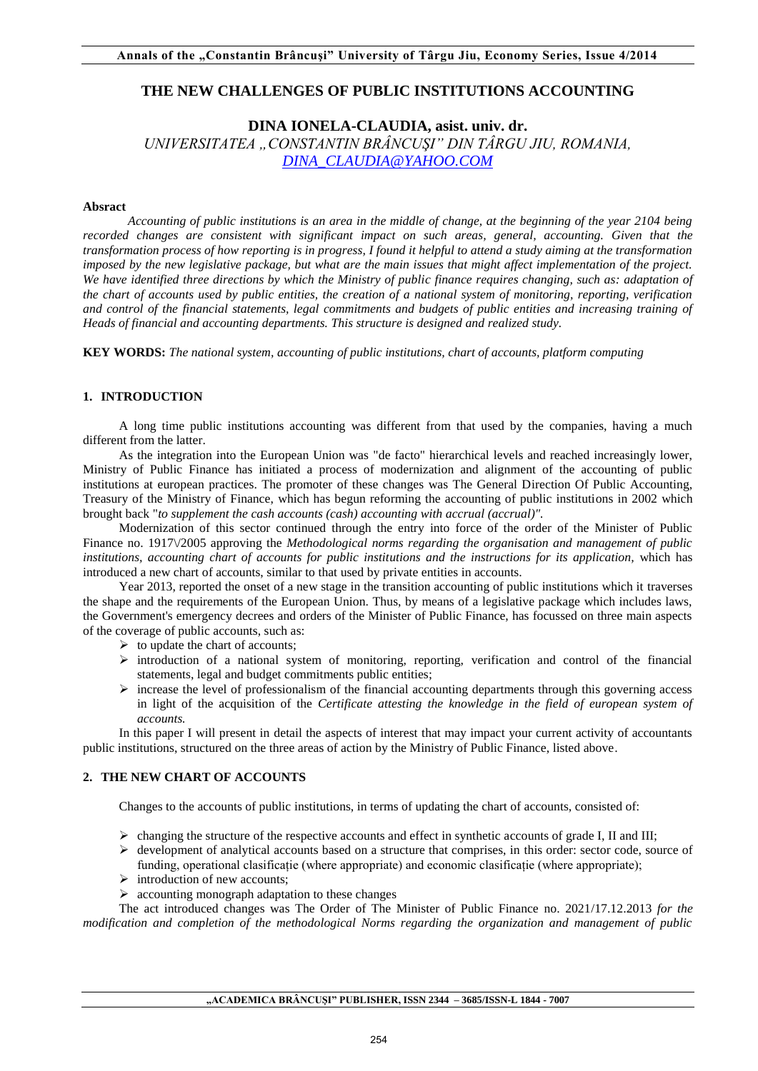# **THE NEW CHALLENGES OF PUBLIC INSTITUTIONS ACCOUNTING**

# **DINA IONELA-CLAUDIA, asist. univ. dr.**

*UNIVERSITATEA "CONSTANTIN BRÂNCUŞI" DIN TÂRGU JIU, ROMANIA, [DINA\\_CLAUDIA@YAHOO.COM](mailto:dina_claudia@yahoo.com)*

#### **Absract**

*Accounting of public institutions is an area in the middle of change, at the beginning of the year 2104 being recorded changes are consistent with significant impact on such areas, general, accounting. Given that the transformation process of how reporting is in progress, I found it helpful to attend a study aiming at the transformation imposed by the new legislative package, but what are the main issues that might affect implementation of the project. We have identified three directions by which the Ministry of public finance requires changing, such as: adaptation of the chart of accounts used by public entities, the creation of a national system of monitoring, reporting, verification and control of the financial statements, legal commitments and budgets of public entities and increasing training of Heads of financial and accounting departments. This structure is designed and realized study.* 

**KEY WORDS:** *The national system, accounting of public institutions, chart of accounts, platform computing* 

## **1. INTRODUCTION**

A long time public institutions accounting was different from that used by the companies, having a much different from the latter.

As the integration into the European Union was "de facto" hierarchical levels and reached increasingly lower, Ministry of Public Finance has initiated a process of modernization and alignment of the accounting of public institutions at european practices. The promoter of these changes was The General Direction Of Public Accounting, Treasury of the Ministry of Finance, which has begun reforming the accounting of public institutions in 2002 which brought back "*to supplement the cash accounts (cash) accounting with accrual (accrual)".*

Modernization of this sector continued through the entry into force of the order of the Minister of Public Finance no. 1917\/2005 approving the *Methodological norms regarding the organisation and management of public institutions, accounting chart of accounts for public institutions and the instructions for its application,* which has introduced a new chart of accounts, similar to that used by private entities in accounts.

Year 2013, reported the onset of a new stage in the transition accounting of public institutions which it traverses the shape and the requirements of the European Union. Thus, by means of a legislative package which includes laws, the Government's emergency decrees and orders of the Minister of Public Finance, has focussed on three main aspects of the coverage of public accounts, such as:

- $\triangleright$  to update the chart of accounts;
- $\triangleright$  introduction of a national system of monitoring, reporting, verification and control of the financial statements, legal and budget commitments public entities;
- $\triangleright$  increase the level of professionalism of the financial accounting departments through this governing access in light of the acquisition of the *Certificate attesting the knowledge in the field of european system of accounts.*

In this paper I will present in detail the aspects of interest that may impact your current activity of accountants public institutions, structured on the three areas of action by the Ministry of Public Finance, listed above.

## **2. THE NEW CHART OF ACCOUNTS**

Changes to the accounts of public institutions, in terms of updating the chart of accounts, consisted of:

- $\triangleright$  changing the structure of the respective accounts and effect in synthetic accounts of grade I, II and III;
- $\triangleright$  development of analytical accounts based on a structure that comprises, in this order: sector code, source of funding, operational clasificație (where appropriate) and economic clasificație (where appropriate);
- $\triangleright$  introduction of new accounts;
- $\triangleright$  accounting monograph adaptation to these changes

The act introduced changes was The Order of The Minister of Public Finance no. 2021/17.12.2013 *for the modification and completion of the methodological Norms regarding the organization and management of public*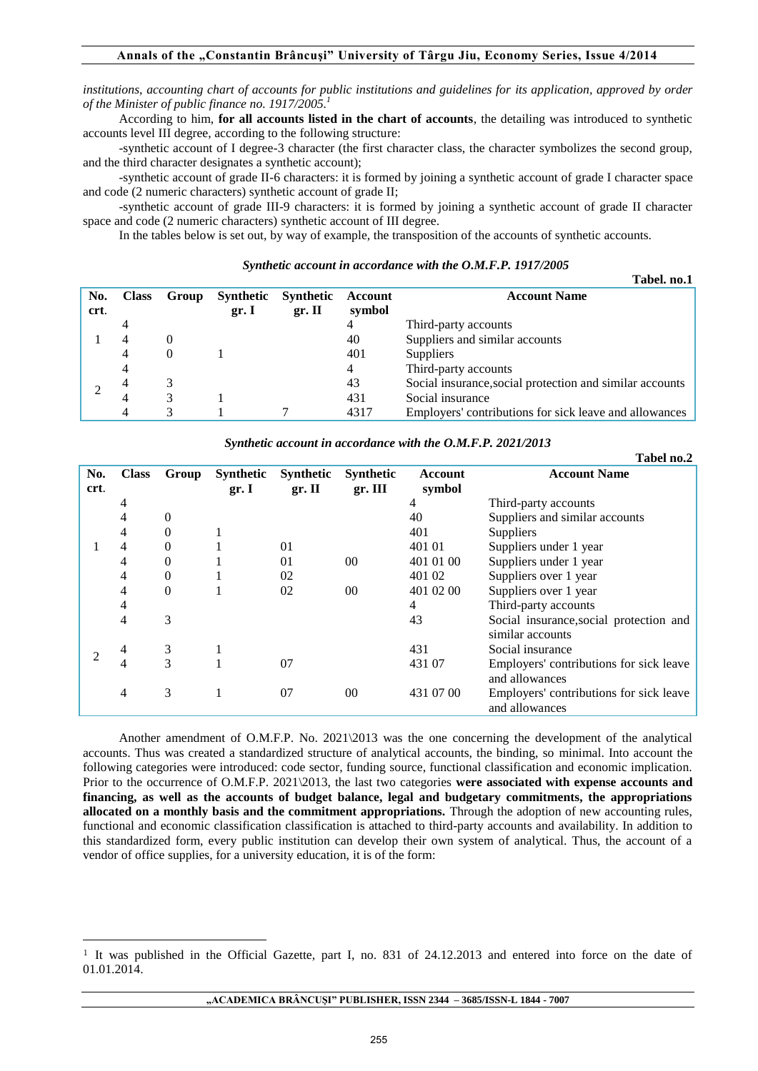*institutions*, *accounting chart of accounts for public institutions and guidelines for its application, approved by order of the Minister of public finance no. 1917/2005.<sup>1</sup>*

According to him, **for all accounts listed in the chart of accounts**, the detailing was introduced to synthetic accounts level III degree, according to the following structure:

-synthetic account of I degree-3 character (the first character class, the character symbolizes the second group, and the third character designates a synthetic account);

-synthetic account of grade II-6 characters: it is formed by joining a synthetic account of grade I character space and code (2 numeric characters) synthetic account of grade II;

-synthetic account of grade III-9 characters: it is formed by joining a synthetic account of grade II character space and code (2 numeric characters) synthetic account of III degree.

In the tables below is set out, by way of example, the transposition of the accounts of synthetic accounts.

|      |              |          |           |           |         | 1 avcı. 110.1                                            |
|------|--------------|----------|-----------|-----------|---------|----------------------------------------------------------|
| No.  | <b>Class</b> | Group    | Synthetic | Synthetic | Account | <b>Account Name</b>                                      |
| crt. |              |          | gr. I     | gr. II    | symbol  |                                                          |
|      |              |          |           |           | 4       | Third-party accounts                                     |
|      | 4            | $\theta$ |           |           | 40      | Suppliers and similar accounts                           |
|      | 4            | $\Omega$ |           |           | 401     | Suppliers                                                |
|      | 4            |          |           |           | 4       | Third-party accounts                                     |
|      |              | 3        |           |           | 43      | Social insurance, social protection and similar accounts |
|      |              | 3        |           |           | 431     | Social insurance                                         |
|      |              | 3        |           |           | 4317    | Employers' contributions for sick leave and allowances   |

#### *Synthetic account in accordance with the O.M.F.P. 1917/2005*

**Table** 

**Tabel no.2**

*Synthetic account in accordance with the O.M.F.P. 2021/2013* 

|             |              |              |                           |                            |                             |                          | 1 avel 110.2                                                |
|-------------|--------------|--------------|---------------------------|----------------------------|-----------------------------|--------------------------|-------------------------------------------------------------|
| No.<br>crt. | <b>Class</b> | Group        | <b>Synthetic</b><br>gr. I | <b>Synthetic</b><br>gr. II | <b>Synthetic</b><br>gr. III | <b>Account</b><br>symbol | <b>Account Name</b>                                         |
|             | 4            |              |                           |                            |                             | 4                        | Third-party accounts                                        |
|             | 4            | $\mathbf{0}$ |                           |                            |                             | 40                       | Suppliers and similar accounts                              |
|             | 4            | 0            |                           |                            |                             | 401                      | Suppliers                                                   |
|             | 4            | $\mathbf{0}$ |                           | 01                         |                             | 401 01                   | Suppliers under 1 year                                      |
|             | 4            | $\mathbf{0}$ |                           | 01                         | 00                          | 401 01 00                | Suppliers under 1 year                                      |
|             | 4            | $\mathbf{0}$ |                           | 02                         |                             | 401 02                   | Suppliers over 1 year                                       |
|             | 4            | $\Omega$     |                           | 02                         | 00                          | 401 02 00                | Suppliers over 1 year                                       |
|             | 4            |              |                           |                            |                             | 4                        | Third-party accounts                                        |
|             | 4            | 3            |                           |                            |                             | 43                       | Social insurance, social protection and<br>similar accounts |
|             | 4            | 3            |                           |                            |                             | 431                      | Social insurance                                            |
|             | 4            | 3            |                           | 07                         |                             | 431 07                   | Employers' contributions for sick leave<br>and allowances   |
|             | 4            | 3            |                           | 07                         | 00                          | 431 07 00                | Employers' contributions for sick leave<br>and allowances   |

Another amendment of O.M.F.P. No. 2021\2013 was the one concerning the development of the analytical accounts. Thus was created a standardized structure of analytical accounts, the binding, so minimal. Into account the following categories were introduced: code sector, funding source, functional classification and economic implication. Prior to the occurrence of O.M.F.P. 2021\2013, the last two categories **were associated with expense accounts and financing, as well as the accounts of budget balance, legal and budgetary commitments, the appropriations allocated on a monthly basis and the commitment appropriations.** Through the adoption of new accounting rules, functional and economic classification classification is attached to third-party accounts and availability. In addition to this standardized form, every public institution can develop their own system of analytical. Thus, the account of a vendor of office supplies, for a university education, it is of the form:

 $\overline{a}$ 

<sup>1</sup> It was published in the Official Gazette, part I, no. 831 of 24.12.2013 and entered into force on the date of 01.01.2014.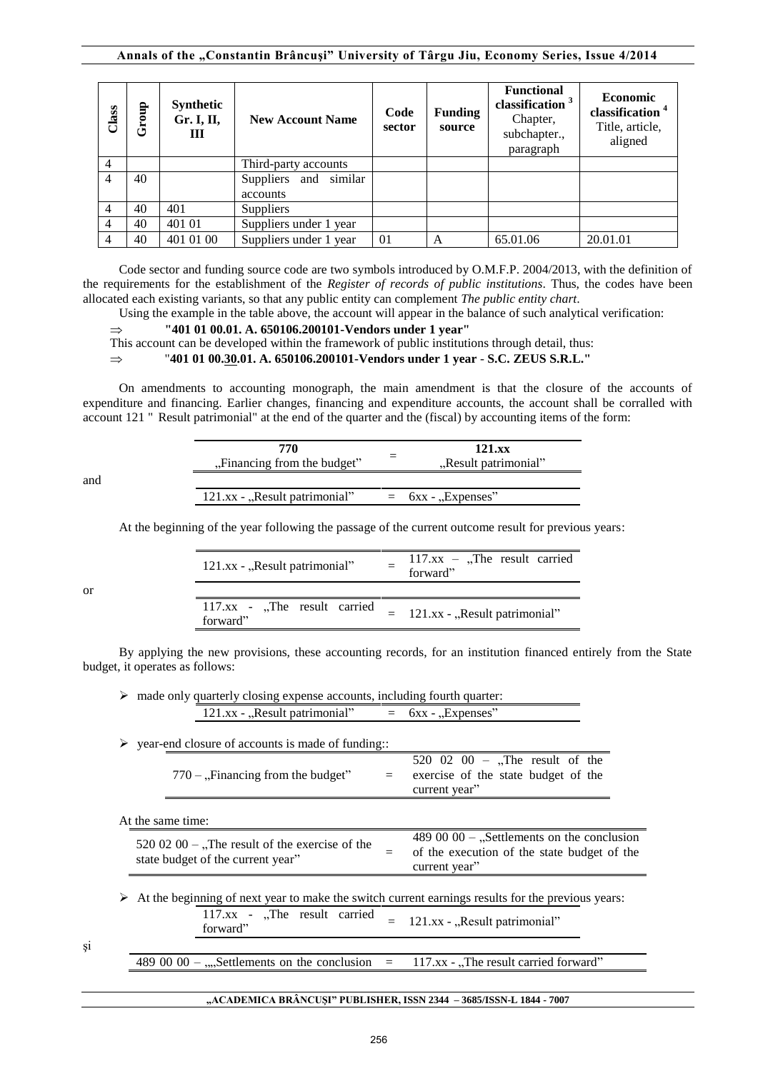#### **Annals of the "Constantin Brâncuşi" University of Târgu Jiu, Economy Series, Issue 4/2014**

| Class          | 윰<br>ہ<br>تا | Synthetic<br>Gr. I, II,<br>Ш | <b>New Account Name</b>           | Code<br>sector | <b>Funding</b><br>source | <b>Functional</b><br>classification <sup>3</sup><br>Chapter,<br>subchapter.,<br>paragraph | <b>Economic</b><br>classification <sup>4</sup><br>Title, article,<br>aligned |
|----------------|--------------|------------------------------|-----------------------------------|----------------|--------------------------|-------------------------------------------------------------------------------------------|------------------------------------------------------------------------------|
| $\overline{4}$ |              |                              | Third-party accounts              |                |                          |                                                                                           |                                                                              |
| $\overline{4}$ | 40           |                              | Suppliers and similar<br>accounts |                |                          |                                                                                           |                                                                              |
| $\overline{4}$ | 40           | 401                          | Suppliers                         |                |                          |                                                                                           |                                                                              |
| $\overline{4}$ | 40           | 401 01                       | Suppliers under 1 year            |                |                          |                                                                                           |                                                                              |
| $\overline{4}$ | 40           | 401 01 00                    | Suppliers under 1 year            | 01             | A                        | 65.01.06                                                                                  | 20.01.01                                                                     |

Code sector and funding source code are two symbols introduced by O.M.F.P. 2004/2013, with the definition of the requirements for the establishment of the *Register of records of public institutions*. Thus, the codes have been allocated each existing variants, so that any public entity can complement *The public entity chart*.

Using the example in the table above, the account will appear in the balance of such analytical verification:

 $\Rightarrow$  "401 01 00.01. A. 650106.200101-Vendors under 1 year"

This account can be developed within the framework of public institutions through detail, thus:

"**401 01 00.30.01. A. 650106.200101-Vendors under 1 year** - **S.C. ZEUS S.R.L."**

On amendments to accounting monograph, the main amendment is that the closure of the accounts of expenditure and financing. Earlier changes, financing and expenditure accounts, the account shall be corralled with account 121 " Result patrimonial" at the end of the quarter and the (fiscal) by accounting items of the form:

|     | 770<br>"Financing from the budget" | 121.xx<br>"Result patrimonial" |
|-----|------------------------------------|--------------------------------|
| and |                                    |                                |
|     | 121.xx - "Result patrimonial"      | $=$ 6xx - "Expenses"           |

At the beginning of the year following the passage of the current outcome result for previous years:

| 121.xx - "Result patrimonial"              | $117.xx -$ The result carried<br>forward" |
|--------------------------------------------|-------------------------------------------|
| $117.xx$ - "The result carried<br>forward" | $=$ 121.xx - "Result patrimonial"         |

By applying the new provisions, these accounting records, for an institution financed entirely from the State budget, it operates as follows:

| $\triangleright$ made only quarterly closing expense accounts, including fourth quarter: |  |                      |  |  |
|------------------------------------------------------------------------------------------|--|----------------------|--|--|
| 121.xx - "Result patrimonial"                                                            |  | $=$ 6xx - "Expenses" |  |  |

| $\triangleright$ year-end closure of accounts is made of funding                                  |  |                                                                                     |     |                                                                                                              |  |  |  |  |
|---------------------------------------------------------------------------------------------------|--|-------------------------------------------------------------------------------------|-----|--------------------------------------------------------------------------------------------------------------|--|--|--|--|
|                                                                                                   |  | $770$ – "Financing from the budget"                                                 | $=$ | 520 02 00 - "The result of the<br>exercise of the state budget of the<br>current year"                       |  |  |  |  |
| At the same time:                                                                                 |  |                                                                                     |     |                                                                                                              |  |  |  |  |
|                                                                                                   |  | 520 02 00 – "The result of the exercise of the<br>state budget of the current year" | $=$ | 489 00 00 $-$ "Settlements on the conclusion<br>of the execution of the state budget of the<br>current year" |  |  |  |  |
| At the beginning of next year to make the switch current earnings results for the previous years: |  |                                                                                     |     |                                                                                                              |  |  |  |  |
|                                                                                                   |  | $117.xx$ - The result carried<br>forward"                                           |     | 121.xx - "Result patrimonial"                                                                                |  |  |  |  |
|                                                                                                   |  | 489 00 00 $-$ ,, Settlements on the conclusion                                      | $=$ | $117.xx -$ . The result carried forward"                                                                     |  |  |  |  |

şi

or

#### **"ACADEMICA BRÂNCUŞI" PUBLISHER, ISSN 2344 – 3685/ISSN-L 1844 - 7007**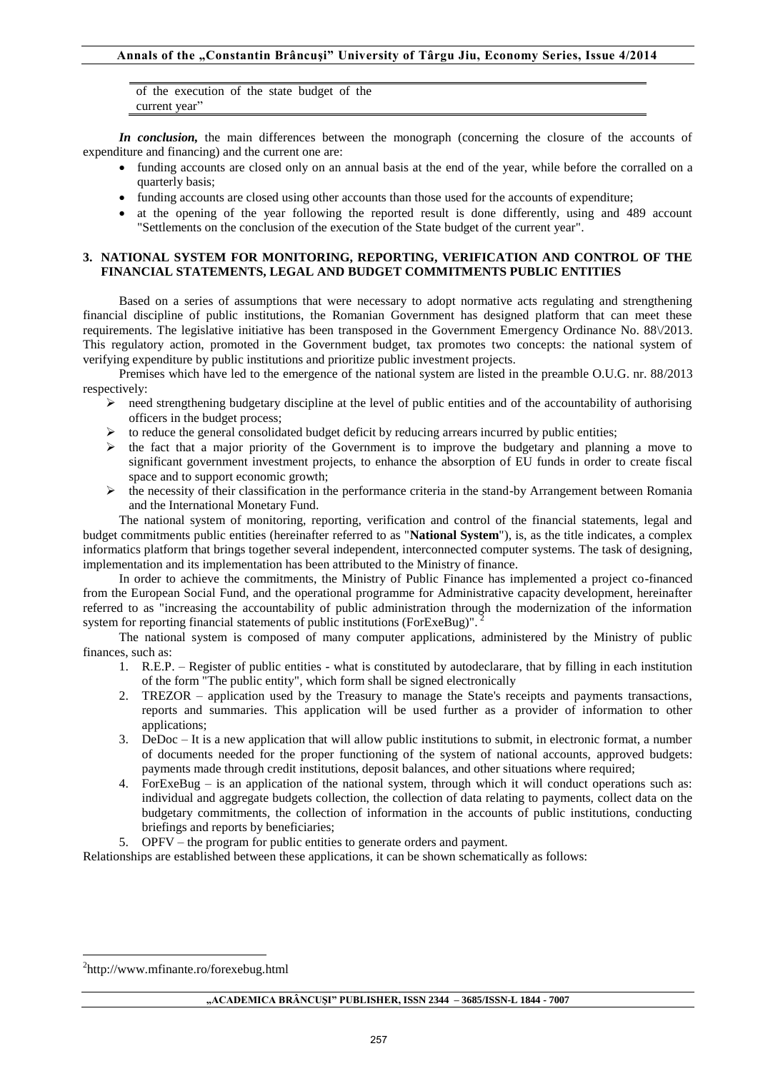of the execution of the state budget of the current year"

*In conclusion*, the main differences between the monograph (concerning the closure of the accounts of expenditure and financing) and the current one are:

- funding accounts are closed only on an annual basis at the end of the year, while before the corralled on a quarterly basis;
- funding accounts are closed using other accounts than those used for the accounts of expenditure;
- at the opening of the year following the reported result is done differently, using and 489 account "Settlements on the conclusion of the execution of the State budget of the current year".

#### **3. NATIONAL SYSTEM FOR MONITORING, REPORTING, VERIFICATION AND CONTROL OF THE FINANCIAL STATEMENTS, LEGAL AND BUDGET COMMITMENTS PUBLIC ENTITIES**

Based on a series of assumptions that were necessary to adopt normative acts regulating and strengthening financial discipline of public institutions, the Romanian Government has designed platform that can meet these requirements. The legislative initiative has been transposed in the Government Emergency Ordinance No. 88\/2013. This regulatory action, promoted in the Government budget, tax promotes two concepts: the national system of verifying expenditure by public institutions and prioritize public investment projects.

Premises which have led to the emergence of the national system are listed in the preamble O.U.G. nr. 88/2013 respectively:

- $\triangleright$  need strengthening budgetary discipline at the level of public entities and of the accountability of authorising officers in the budget process;
- $\triangleright$  to reduce the general consolidated budget deficit by reducing arrears incurred by public entities;
- $\triangleright$  the fact that a major priority of the Government is to improve the budgetary and planning a move to significant government investment projects, to enhance the absorption of EU funds in order to create fiscal space and to support economic growth;
- the necessity of their classification in the performance criteria in the stand-by Arrangement between Romania and the International Monetary Fund.

The national system of monitoring, reporting, verification and control of the financial statements, legal and budget commitments public entities (hereinafter referred to as "**National System**"), is, as the title indicates, a complex informatics platform that brings together several independent, interconnected computer systems. The task of designing, implementation and its implementation has been attributed to the Ministry of finance.

In order to achieve the commitments, the Ministry of Public Finance has implemented a project co-financed from the European Social Fund, and the operational programme for Administrative capacity development, hereinafter referred to as "increasing the accountability of public administration through the modernization of the information system for reporting financial statements of public institutions (ForExeBug)".

The national system is composed of many computer applications, administered by the Ministry of public finances, such as:

- 1. R.E.P. Register of public entities what is constituted by autodeclarare, that by filling in each institution of the form "The public entity", which form shall be signed electronically
- 2. TREZOR application used by the Treasury to manage the State's receipts and payments transactions, reports and summaries. This application will be used further as a provider of information to other applications;
- 3. DeDoc It is a new application that will allow public institutions to submit, in electronic format, a number of documents needed for the proper functioning of the system of national accounts, approved budgets: payments made through credit institutions, deposit balances, and other situations where required;
- 4. ForExeBug is an application of the national system, through which it will conduct operations such as: individual and aggregate budgets collection, the collection of data relating to payments, collect data on the budgetary commitments, the collection of information in the accounts of public institutions, conducting briefings and reports by beneficiaries;
- 5. OPFV the program for public entities to generate orders and payment.

Relationships are established between these applications, it can be shown schematically as follows:

 $\overline{a}$ 

<sup>&</sup>lt;sup>2</sup>http://www.mfinante.ro/forexebug.html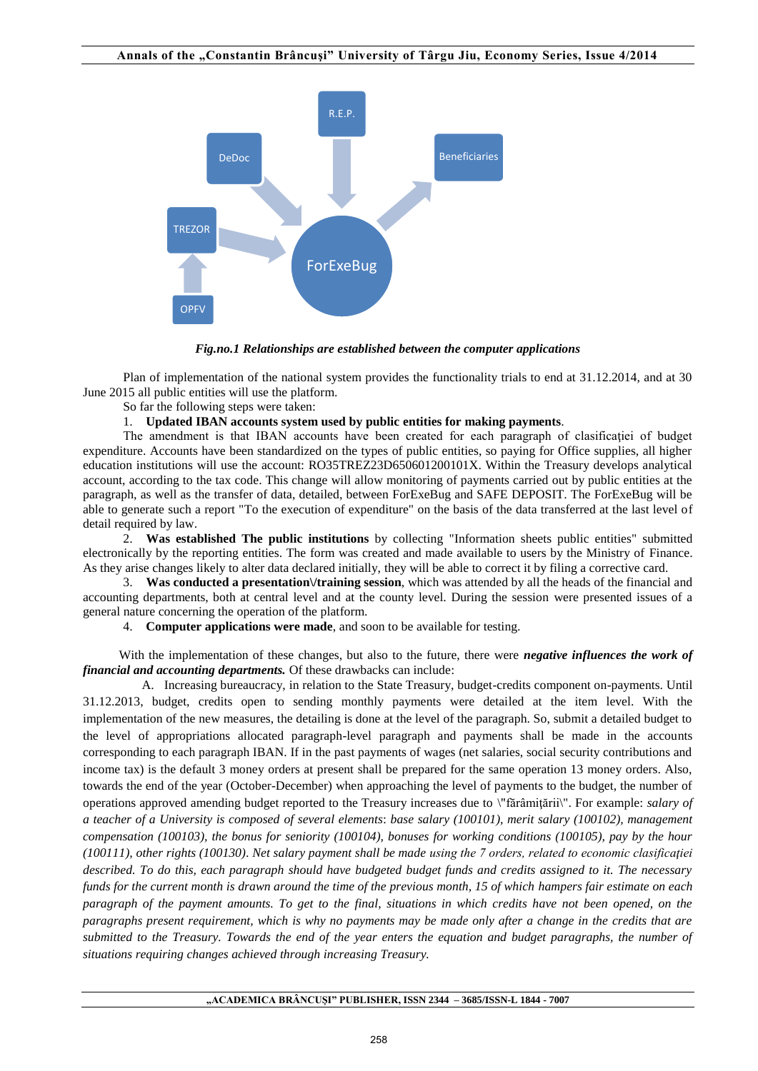

*Fig.no.1 Relationships are established between the computer applications* 

 Plan of implementation of the national system provides the functionality trials to end at 31.12.2014, and at 30 June 2015 all public entities will use the platform.

So far the following steps were taken:

## 1. **Updated IBAN accounts system used by public entities for making payments**.

The amendment is that IBAN accounts have been created for each paragraph of clasificatiei of budget expenditure. Accounts have been standardized on the types of public entities, so paying for Office supplies, all higher education institutions will use the account: RO35TREZ23D650601200101X. Within the Treasury develops analytical account, according to the tax code. This change will allow monitoring of payments carried out by public entities at the paragraph, as well as the transfer of data, detailed, between ForExeBug and SAFE DEPOSIT. The ForExeBug will be able to generate such a report "To the execution of expenditure" on the basis of the data transferred at the last level of detail required by law.

2. **Was established The public institutions** by collecting "Information sheets public entities" submitted electronically by the reporting entities. The form was created and made available to users by the Ministry of Finance. As they arise changes likely to alter data declared initially, they will be able to correct it by filing a corrective card.

3. **Was conducted a presentation\/training session**, which was attended by all the heads of the financial and accounting departments, both at central level and at the county level. During the session were presented issues of a general nature concerning the operation of the platform.

4. **Computer applications were made**, and soon to be available for testing.

With the implementation of these changes, but also to the future, there were *negative influences the work of financial and accounting departments.* Of these drawbacks can include:

A. Increasing bureaucracy, in relation to the State Treasury, budget-credits component on-payments. Until 31.12.2013, budget, credits open to sending monthly payments were detailed at the item level. With the implementation of the new measures, the detailing is done at the level of the paragraph. So, submit a detailed budget to the level of appropriations allocated paragraph-level paragraph and payments shall be made in the accounts corresponding to each paragraph IBAN. If in the past payments of wages (net salaries, social security contributions and income tax) is the default 3 money orders at present shall be prepared for the same operation 13 money orders. Also, towards the end of the year (October-December) when approaching the level of payments to the budget, the number of operations approved amending budget reported to the Treasury increases due to \"fărâmiţării\". For example: *salary of a teacher of a University is composed of several elements*: *base salary (100101), merit salary (100102), management compensation (100103), the bonus for seniority (100104), bonuses for working conditions (100105), pay by the hour (100111), other rights (100130)*. *Net salary payment shall be made using the 7 orders, related to economic clasificaţiei described. To do this, each paragraph should have budgeted budget funds and credits assigned to it. The necessary funds for the current month is drawn around the time of the previous month, 15 of which hampers fair estimate on each paragraph of the payment amounts. To get to the final, situations in which credits have not been opened, on the paragraphs present requirement, which is why no payments may be made only after a change in the credits that are submitted to the Treasury. Towards the end of the year enters the equation and budget paragraphs, the number of situations requiring changes achieved through increasing Treasury.*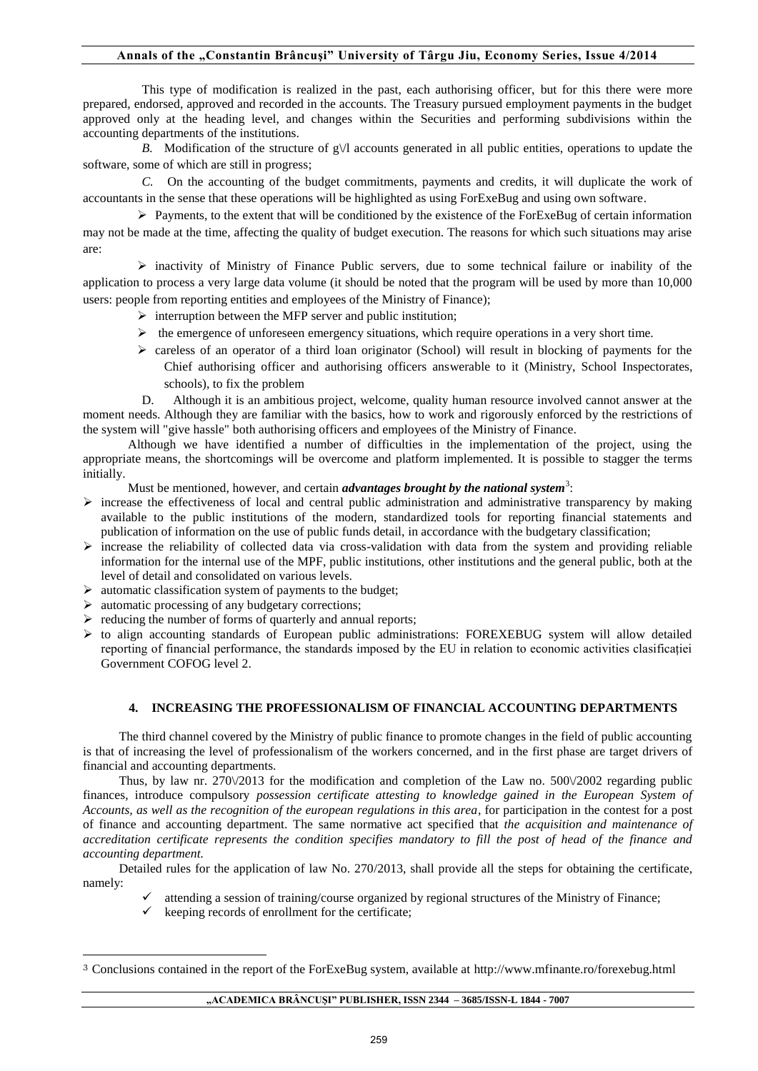# Annals of the "Constantin Brâncuși" University of Târgu Jiu, Economy Series, Issue 4/2014

This type of modification is realized in the past, each authorising officer, but for this there were more prepared, endorsed, approved and recorded in the accounts. The Treasury pursued employment payments in the budget approved only at the heading level, and changes within the Securities and performing subdivisions within the accounting departments of the institutions.

*B.* Modification of the structure of  $g\lor$ l accounts generated in all public entities, operations to update the software, some of which are still in progress;

*C.* On the accounting of the budget commitments, payments and credits, it will duplicate the work of accountants in the sense that these operations will be highlighted as using ForExeBug and using own software.

 $\triangleright$  Payments, to the extent that will be conditioned by the existence of the ForExeBug of certain information may not be made at the time, affecting the quality of budget execution. The reasons for which such situations may arise are:

 inactivity of Ministry of Finance Public servers, due to some technical failure or inability of the application to process a very large data volume (it should be noted that the program will be used by more than 10,000 users: people from reporting entities and employees of the Ministry of Finance);

- $\triangleright$  interruption between the MFP server and public institution;
- $\triangleright$  the emergence of unforeseen emergency situations, which require operations in a very short time.
- $\triangleright$  careless of an operator of a third loan originator (School) will result in blocking of payments for the Chief authorising officer and authorising officers answerable to it (Ministry, School Inspectorates, schools), to fix the problem

D. Although it is an ambitious project, welcome, quality human resource involved cannot answer at the moment needs. Although they are familiar with the basics, how to work and rigorously enforced by the restrictions of the system will "give hassle" both authorising officers and employees of the Ministry of Finance.

Although we have identified a number of difficulties in the implementation of the project, using the appropriate means, the shortcomings will be overcome and platform implemented. It is possible to stagger the terms initially.

Must be mentioned, however, and certain *advantages brought by the national system*<sup>3</sup>:

- $\triangleright$  increase the effectiveness of local and central public administration and administrative transparency by making available to the public institutions of the modern, standardized tools for reporting financial statements and publication of information on the use of public funds detail, in accordance with the budgetary classification;
- $\triangleright$  increase the reliability of collected data via cross-validation with data from the system and providing reliable information for the internal use of the MPF, public institutions, other institutions and the general public, both at the level of detail and consolidated on various levels.
- $\triangleright$  automatic classification system of payments to the budget;
- $\triangleright$  automatic processing of any budgetary corrections;
- $\triangleright$  reducing the number of forms of quarterly and annual reports;
- $\triangleright$  to align accounting standards of European public administrations: FOREXEBUG system will allow detailed reporting of financial performance, the standards imposed by the EU in relation to economic activities clasificației Government COFOG level 2.

#### **4. INCREASING THE PROFESSIONALISM OF FINANCIAL ACCOUNTING DEPARTMENTS**

The third channel covered by the Ministry of public finance to promote changes in the field of public accounting is that of increasing the level of professionalism of the workers concerned, and in the first phase are target drivers of financial and accounting departments.

Thus, by law nr. 270 $\sqrt{2013}$  for the modification and completion of the Law no. 500 $\sqrt{2002}$  regarding public finances, introduce compulsory *possession certificate attesting to knowledge gained in the European System of Accounts, as well as the recognition of the european regulations in this area*, for participation in the contest for a post of finance and accounting department. The same normative act specified that *the acquisition and maintenance of accreditation certificate represents the condition specifies mandatory to fill the post of head of the finance and accounting department.*

Detailed rules for the application of law No. 270/2013, shall provide all the steps for obtaining the certificate, namely:

- attending a session of training/course organized by regional structures of the Ministry of Finance;
- $\checkmark$  keeping records of enrollment for the certificate;

 $\overline{a}$ 

<sup>3</sup> Conclusions contained in the report of the ForExeBug system, available at http://www.mfinante.ro/forexebug.html